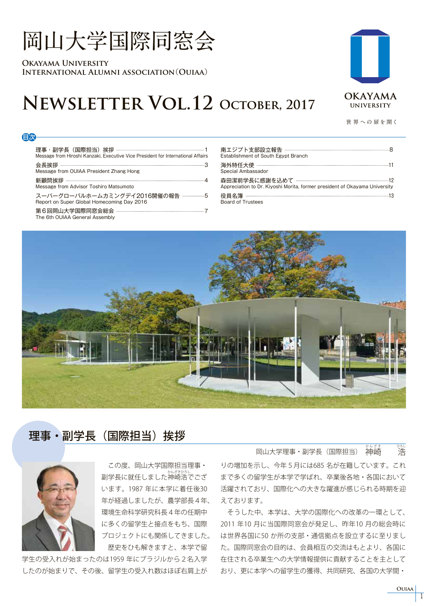# **岡山大学国際同窓会**

**Okayama University International Alumni association**(**Ouiaa**)

# **Newsletter Vol.12 October, 2017**



**世 界 への 扉を開く**

#### 目次

理事・副学長(国際担当)挨拶 1 Message from Hiroshi Kanzaki, Executive Vice President for International Affairs

会長挨拶 3

Message from OUIAA President Zhang Hong

新顧問挨拶 4 Message from Advisor Toshiro Matsumoto

スーパーグローバルホームカミングデイ2016開催の報告 ----------------5 Report on Super Global Homecoming Day 2016

第6回岡山大学国際同窓会総会 ----------------

The 6th OUIAA General Assembly

| Establishment of South Egypt Branch                                        |
|----------------------------------------------------------------------------|
| Special Ambassador                                                         |
| Appreciation to Dr. Kiyoshi Morita, former president of Okayama University |
| <b>Board of Trustees</b>                                                   |



# 理事・副学長(国際担当)挨拶



 この度、岡山大学国際担当理事・ <sub>』かどきひろし</sub><br>副学長に就任しました神崎浩でござ います。1987 年に本学に着任後30 年が経過しましたが、農学部長4年、 環境生命科学研究科長4年の任期中 に多くの留学生と接点をもち、国際 プロジェクトにも関係してきました。 歴史をひも解きますと、本学で留

学生の受入れが始まったのは1959 年にブラジルから2名入学 したのが始まりで、その後、留学生の受入れ数はほぼ右肩上が

りの増加を示し、今年5月には685 名が在籍しています。これ まで多くの留学生が本学で学ばれ、卒業後各地・各国において 活躍されており、国際化への大きな躍進が感じられる時期を迎 えております。 岡山大学理事・副学長 (国際担当) *。。。。*<br>神崎 장난<br>고수<br>기대

 そうした中、本学は、大学の国際化への改革の一環として、 2011 年10 月に当国際同窓会が発足し、昨年10 月の総会時に は世界各国に50 か所の支部・通信拠点を設立するに至りまし た。国際同窓会の目的は、会員相互の交流はもとより、各国に 在住される卒業生への大学情報提供に貢献することを主として おり、更に本学への留学生の獲得、共同研究、各国の大学間・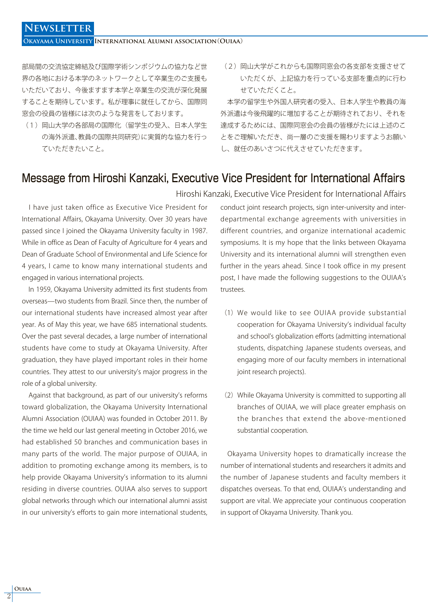### **Newsletter**

**Okayama University International Alumni association**(**Ouiaa**)

部局間の交流協定締結及び国際学術シンポジウムの協力など世 界の各地における本学のネットワークとして卒業生のご支援も いただいており、今後ますます本学と卒業生の交流が深化発展 することを期待しています。私が理事に就任してから、国際同 窓会の役員の皆様には次のような発言をしております。

- (1) 岡山大学の各部局の国際化(留学生の受入、日本人学生 の海外派遣、教員の国際共同研究)に実質的な協力を行っ ていただきたいこと。
- (2)岡山大学がこれからも国際同窓会の各支部を支援させて いただくが、上記協力を行っている支部を重点的に行わ せていただくこと。

 本学の留学生や外国人研究者の受入、日本人学生や教員の海 外派遣は今後飛躍的に増加することが期待されており、それを 達成するためには、国際同窓会の会員の皆様がたには上述のこ とをご理解いただき、尚一層のご支援を賜わりますようお願い し、就任のあいさつに代えさせていただきます。

### Message from Hiroshi Kanzaki, Executive Vice President for International Affairs

 I have just taken office as Executive Vice President for International Affairs, Okayama University. Over 30 years have passed since I joined the Okayama University faculty in 1987. While in office as Dean of Faculty of Agriculture for 4 years and Dean of Graduate School of Environmental and Life Science for 4 years, I came to know many international students and engaged in various international projects.

 In 1959, Okayama University admitted its first students from overseas—two students from Brazil. Since then, the number of our international students have increased almost year after year. As of May this year, we have 685 international students. Over the past several decades, a large number of international students have come to study at Okayama University. After graduation, they have played important roles in their home countries. They attest to our university's major progress in the role of a global university.

 Against that background, as part of our university's reforms toward globalization, the Okayama University International Alumni Association (OUIAA) was founded in October 2011. By the time we held our last general meeting in October 2016, we had established 50 branches and communication bases in many parts of the world. The major purpose of OUIAA, in addition to promoting exchange among its members, is to help provide Okayama University's information to its alumni residing in diverse countries. OUIAA also serves to support global networks through which our international alumni assist in our university's efforts to gain more international students,

conduct joint research projects, sign inter-university and interdepartmental exchange agreements with universities in different countries, and organize international academic symposiums. It is my hope that the links between Okayama University and its international alumni will strengthen even further in the years ahead. Since I took office in my present post, I have made the following suggestions to the OUIAA's trustees. Hiroshi Kanzaki, Executive Vice President for International Affairs

- (1)We would like to see OUIAA provide substantial cooperation for Okayama University's individual faculty and school's globalization efforts (admitting international students, dispatching Japanese students overseas, and engaging more of our faculty members in international joint research projects).
- (2) While Okayama University is committed to supporting all branches of OUIAA, we will place greater emphasis on the branches that extend the above-mentioned substantial cooperation.

 Okayama University hopes to dramatically increase the number of international students and researchers it admits and the number of Japanese students and faculty members it dispatches overseas. To that end, OUIAA's understanding and support are vital. We appreciate your continuous cooperation in support of Okayama University. Thank you.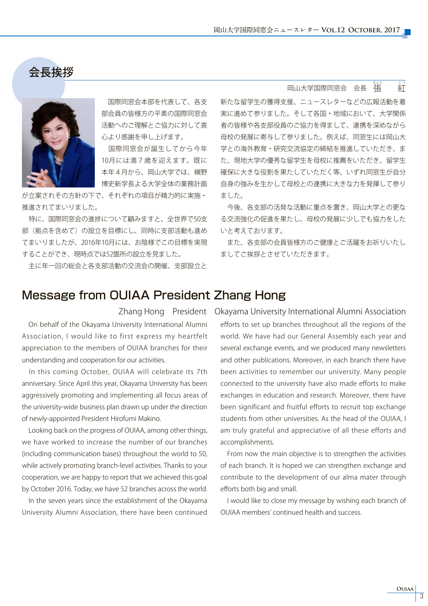会長挨拶



 国際同窓会本部を代表して、各支 部会員の皆様方の平素の国際同窓会 活動へのご理解とご協力に対して衷 心より感謝を申し上げます。

 国際同窓会が誕生してから今年 10月には満7歳を迎えます。既に 本年4月から、岡山大学では、槇野 博史新学長よる大学全体の業務計画

が立案されその方針の下で、それぞれの項目が精力的に実施・ 推進されてまいりました。

 特に、国際同窓会の進捗について顧みますと、全世界で50支 部(拠点を含めて)の設立を目標にし、同時に支部活動も進め てまいりましたが、2016年10月には、お陰様でこの目標を実現 することができ、現時点では52箇所の設立を見ました。

主に年一回の総会と各支部活動の交流会の開催、支部設立と

 $\begin{minipage}[c]{0.7\linewidth} \textbf{a} & \textbf{b} & \textbf{c} \\ \textbf{c} & \textbf{c} & \textbf{c} \\ \textbf{d} & \textbf{c} & \textbf{c} \end{minipage}$ 。<br>名<br>コインゴ<br>インゴ

新たな留学生の獲得支援、ニュースレターなどの広報活動を着 実に進めて参りました。そして各国・地域において、大学関係 者の皆様や各支部役員のご協力を得まして、連携を深めながら 母校の発展に寄与して参りました。例えば、同窓生には岡山大 学との海外教育・研究交流協定の締結を推進していただき、ま た、現地大学の優秀な留学生を母校に推薦をいただき、留学生 確保に大きな役割を果たしていただく等、いずれ同窓生が自分 自身の強みを生かして母校との連携に大きな力を発揮して参り ました。

 今後、各支部の活発な活動に重点を置き、岡山大学との更な る交流強化の促進を果たし、母校の発展に少しでも協力をした いと考えております。

 また、各支部の会員皆様方のご健康とご活躍をお祈りいたし ましてご挨拶とさせていただきます。

### Message from OUIAA President Zhang Hong

 On behalf of the Okayama University International Alumni Association, I would like to first express my heartfelt appreciation to the members of OUIAA branches for their understanding and cooperation for our activities.

 In this coming October, OUIAA will celebrate its 7th anniversary. Since April this year, Okayama University has been aggressively promoting and implementing all focus areas of the university-wide business plan drawn up under the direction of newly-appointed President Hirofumi Makino.

 Looking back on the progress of OUIAA, among other things, we have worked to increase the number of our branches (including communication bases) throughout the world to 50, while actively promoting branch-level activities. Thanks to your cooperation, we are happy to report that we achieved this goal by October 2016. Today, we have 52 branches across the world.

 In the seven years since the establishment of the Okayama University Alumni Association, there have been continued

efforts to set up branches throughout all the regions of the world. We have had our General Assembly each year and several exchange events, and we produced many newsletters and other publications. Moreover, in each branch there have been activities to remember our university. Many people connected to the university have also made efforts to make exchanges in education and research. Moreover, there have been significant and fruitful efforts to recruit top exchange students from other universities. As the head of the OUIAA, I am truly grateful and appreciative of all these efforts and accomplishments. Zhang Hong President Okayama University International Alumni Association

> From now the main objective is to strengthen the activities of each branch. It is hoped we can strengthen exchange and contribute to the development of our alma mater through efforts both big and small.

> I would like to close my message by wishing each branch of OUIAA members' continued health and success.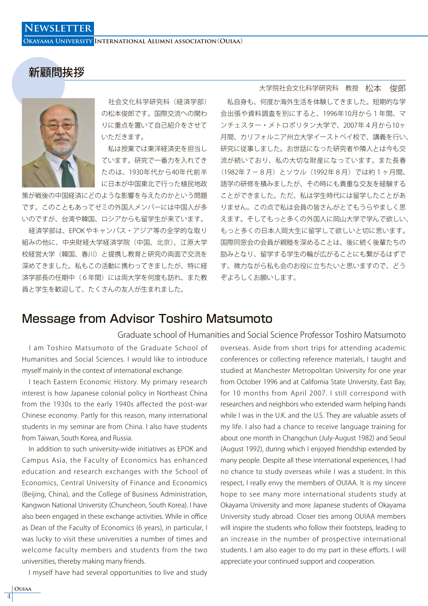新顧問挨拶

**Okayama University International Alumni association**(**Ouiaa**)



 社会文化科学研究科(経済学部) の松本俊郎です。国際交流への関わ りに重点を置いて自己紹介をさせて いただきます。

 私は授業では東洋経済史を担当し ています。研究で一番力を入れてき たのは、1930年代から40年代前半 に日本が中国東北で行った植民地政

策が戦後の中国経済にどのような影響を与えたのかという問題 です。このこともあってゼミの外国人メンバーには中国人が多 いのですが、台湾や韓国、ロシアからも留学生が来ています。

 経済学部は、EPOK やキャンパス・アジア等の全学的な取り 組みの他に、中央財経大学経済学院(中国、北京)、江原大学 校経営大学(韓国、春川)と提携し教育と研究の両面で交流を 深めてきました。私もこの活動に携わってきましたが、特に経 済学部長の任期中(6年間)には両大学を何度も訪れ、また教 員と学生を歓迎して、たくさんの友人が生まれました。

大学院社会文化科学研究科 教授 松本 俊郎

 私自身も、何度か海外生活を体験してきました。短期的な学 会出張や資料調査を別にすると、1996年10月から1年間、マ ンチェスター・メトロポリタン大学で、2007年4月から10ヶ 月間、カリフォルニア州立大学イーストベイ校で、講義を行い、 研究に従事しました。お世話になった研究者や隣人とは今も交 流が続いており、私の大切な財産になっています。また長春 (1982年7-8月)とソウル(1992年8月)では約1ヶ月間、 語学の研修を積みましたが、その時にも貴重な交友を経験する ことができました。ただ、私は学生時代には留学したことがあ りません。この点で私は会員の皆さんがとてもうらやましく思 えます。そしてもっと多くの外国人に岡山大学で学んで欲しい、 もっと多くの日本人岡大生に留学して欲しいと切に思います。 国際同窓会の会員が親睦を深めることは、後に続く後輩たちの 励みとなり、留学する学生の輪が広がることにも繋がるはずで す。微力ながら私も会のお役に立ちたいと思いますので、どう ぞよろしくお願いします。

### Message from Advisor Toshiro Matsumoto

#### Graduate school of Humanities and Social Science Professor Toshiro Matsumoto

 I am Toshiro Matsumoto of the Graduate School of Humanities and Social Sciences. I would like to introduce myself mainly in the context of international exchange.

 I teach Eastern Economic History. My primary research interest is how Japanese colonial policy in Northeast China from the 1930s to the early 1940s affected the post-war Chinese economy. Partly for this reason, many international students in my seminar are from China. I also have students from Taiwan, South Korea, and Russia.

 In addition to such university-wide initiatives as EPOK and Campus Asia, the Faculty of Economics has enhanced education and research exchanges with the School of Economics, Central University of Finance and Economics (Beijing, China), and the College of Business Administration, Kangwon National University (Chuncheon, South Korea). I have also been engaged in these exchange activities. While in office as Dean of the Faculty of Economics (6 years), in particular, I was lucky to visit these universities a number of times and welcome faculty members and students from the two universities, thereby making many friends.

I myself have had several opportunities to live and study

overseas. Aside from short trips for attending academic conferences or collecting reference materials, I taught and studied at Manchester Metropolitan University for one year from October 1996 and at California State University, East Bay, for 10 months from April 2007. I still correspond with researchers and neighbors who extended warm helping hands while I was in the U.K. and the U.S. They are valuable assets of my life. I also had a chance to receive language training for about one month in Changchun (July-August 1982) and Seoul (August 1992), during which I enjoyed friendship extended by many people. Despite all these international experiences, I had no chance to study overseas while I was a student. In this respect, I really envy the members of OUIAA. It is my sincere hope to see many more international students study at Okayama University and more Japanese students of Okayama University study abroad. Closer ties among OUIAA members will inspire the students who follow their footsteps, leading to an increase in the number of prospective international students. I am also eager to do my part in these efforts. I will appreciate your continued support and cooperation.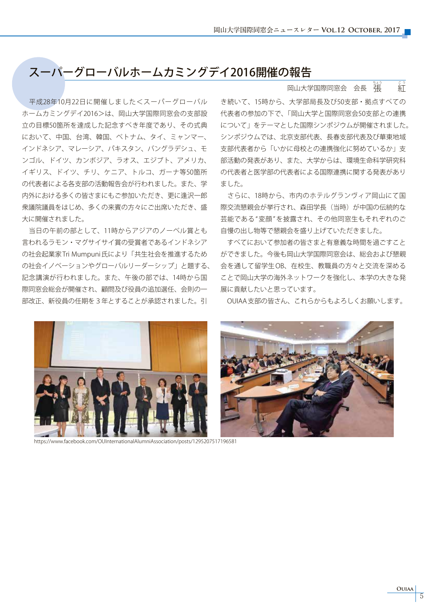# スーパーグローバルホームカミングデイ2016開催の報告

 平成28年10月22日に開催しました<スーパーグローバル ホームカミングデイ2016>は、岡山大学国際同窓会の支部設 立の目標50箇所を達成した記念すべき年度であり、その式典 において、中国、台湾、韓国、ベトナム、タイ、ミャンマー、 インドネシア、マレーシア、パキスタン、バングラデシュ、モ ンゴル、ドイツ、カンボジア、ラオス、エジブト、アメリカ、 イギリス、ドイツ、チリ、ケニア、トルコ、ガーナ等50箇所 の代表者による各支部の活動報告会が行われました。また、学 内外における多くの皆さまにもご参加いただき、更に逢沢一郎 衆議院議員をはじめ、多くの来賓の方々にご出席いただき、盛 大に開催されました。

 当日の午前の部として、11時からアジアのノーベル賞とも 言われるラモン・マグサイサイ賞の受賞者であるインドネシア の社会起業家 Tri Mumpuni 氏により「共生社会を推進するため の社会イノベーションやグローバルリーダーシップ」と題する、 記念講演が行われました。また、午後の部では、14時から国 際同窓会総会が開催され、顧問及び役員の追加選任、会則の一 部改正、新役員の任期を3年とすることが承認されました。引

#### $\begin{minipage}[c]{0.7\linewidth} \textbf{a} & \textbf{b} & \textbf{c} \\ \textbf{c} & \textbf{c} & \textbf{c} \\ \textbf{d} & \textbf{c} & \textbf{c} \end{minipage}$ 。<br>名<br>コインゴ<br>インゴ

き続いて、15時から、大学部局長及び50支部・拠点すべての 代表者の参加の下で、「岡山大学と国際同窓会50支部との連携 について」をテーマとした国際シンポジウムが開催されました。 シンポジウムでは、北京支部代表、長春支部代表及び華東地域 支部代表者から「いかに母校との連携強化に努めているか」支 部活動の発表があり、また、大学からは、環境生命科学研究科 の代表者と医学部の代表者による国際連携に関する発表があり ました。

 さらに、18時から、市内のホテルグランヴィア岡山にて国 際交流懇親会が挙行され、森田学長(当時)が中国の伝統的な 芸能である"変顔"を披露され、その他同窓生もそれぞれのご 自慢の出し物等で懇親会を盛り上げていただきました。

 すべてにおいて参加者の皆さまと有意義な時間を過ごすこと ができました。今後も岡山大学国際同窓会は、総会および懇親 会を通して留学生 OB、在校生、教職員の方々と交流を深める ことで岡山大学の海外ネットワークを強化し、本学の大きな発 展に貢献したいと思っています。

OUIAA 支部の皆さん、これらからもよろしくお願いします。



https://www.facebook.com/OUInternationalAlumniAssociation/posts/1295207517196581

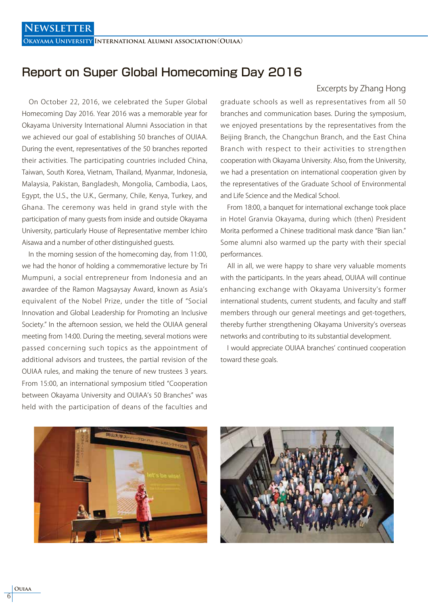**Okayama University International Alumni association**(**Ouiaa**)

### Report on Super Global Homecoming Day 2016

 On October 22, 2016, we celebrated the Super Global Homecoming Day 2016. Year 2016 was a memorable year for Okayama University International Alumni Association in that we achieved our goal of establishing 50 branches of OUIAA. During the event, representatives of the 50 branches reported their activities. The participating countries included China, Taiwan, South Korea, Vietnam, Thailand, Myanmar, Indonesia, Malaysia, Pakistan, Bangladesh, Mongolia, Cambodia, Laos, Egypt, the U.S., the U.K., Germany, Chile, Kenya, Turkey, and Ghana. The ceremony was held in grand style with the participation of many guests from inside and outside Okayama University, particularly House of Representative member Ichiro Aisawa and a number of other distinguished guests.

 In the morning session of the homecoming day, from 11:00, we had the honor of holding a commemorative lecture by Tri Mumpuni, a social entrepreneur from Indonesia and an awardee of the Ramon Magsaysay Award, known as Asia's equivalent of the Nobel Prize, under the title of "Social Innovation and Global Leadership for Promoting an Inclusive Society." In the afternoon session, we held the OUIAA general meeting from 14:00. During the meeting, several motions were passed concerning such topics as the appointment of additional advisors and trustees, the partial revision of the OUIAA rules, and making the tenure of new trustees 3 years. From 15:00, an international symposium titled "Cooperation between Okayama University and OUIAA's 50 Branches" was held with the participation of deans of the faculties and

#### Excerpts by Zhang Hong

graduate schools as well as representatives from all 50 branches and communication bases. During the symposium, we enjoyed presentations by the representatives from the Beijing Branch, the Changchun Branch, and the East China Branch with respect to their activities to strengthen cooperation with Okayama University. Also, from the University, we had a presentation on international cooperation given by the representatives of the Graduate School of Environmental and Life Science and the Medical School.

 From 18:00, a banquet for international exchange took place in Hotel Granvia Okayama, during which (then) President Morita performed a Chinese traditional mask dance "Bian lian." Some alumni also warmed up the party with their special performances.

 All in all, we were happy to share very valuable moments with the participants. In the years ahead, OUIAA will continue enhancing exchange with Okayama University's former international students, current students, and faculty and staff members through our general meetings and get-togethers, thereby further strengthening Okayama University's overseas networks and contributing to its substantial development.

 I would appreciate OUIAA branches' continued cooperation toward these goals.



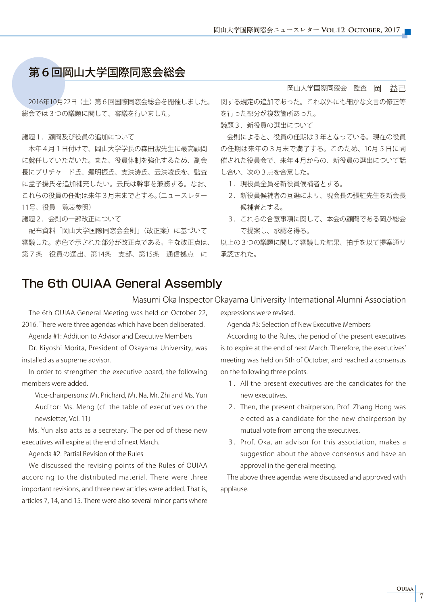# 第6回岡山大学国際同窓会総会

 2016年10月22日(土)第6回国際同窓会総会を開催しました。 総会では3つの議題に関して、審議を行いました。

#### 議題1. 顧問及び役員の追加について

 本年4月1日付けで、岡山大学学長の森田潔先生に最高顧問 に就任していただいた。また、役員体制を強化するため、副会 長にプリチャード氏、羅明振氏、支洪涛氏、云洪凌氏を、監査 に孟子揚氏を追加補充したい。云氏は幹事を兼務する。なお、 これらの役員の任期は来年3月末までとする。(ニュースレター 11号、役員一覧表参照)

議題2.会則の一部改正について

 配布資料「岡山大学国際同窓会会則」(改正案)に基づいて 審議した。赤色で示された部分が改正点である。主な改正点は、 第7条 役員の選出、第14条 支部、第15条 通信拠点 に

#### 岡山大学国際同窓会 監査 岡 益己

関する規定の追加であった。これ以外にも細かな文言の修正等 を行った部分が複数箇所あった。

議題3.新役員の選出について

 会則によると、役員の任期は3年となっている。現在の役員 の任期は来年の3月末で満了する。このため、10月5日に開 催された役員会で、来年4月からの、新役員の選出について話 し合い、次の3点を合意した。

- 1. 現役員全員を新役員候補者とする。
- 2. 新役員候補者の互選により、現会長の張紅先生を新会長 候補者とする。
- 3. これらの合意事項に関して、本会の顧問である岡が総会 で提案し、承認を得る。

以上の3つの議題に関して審議した結果、拍手を以て提案通り 承認された。

# The 6th OUIAA General Assembly

Masumi Oka Inspector Okayama University International Alumni Association

 The 6th OUIAA General Meeting was held on October 22, 2016. There were three agendas which have been deliberated.

Agenda #1: Addition to Advisor and Executive Members

 Dr. Kiyoshi Morita, President of Okayama University, was installed as a supreme advisor.

 In order to strengthen the executive board, the following members were added.

 Vice-chairpersons: Mr. Prichard, Mr. Na, Mr. Zhi and Ms. Yun Auditor: Ms. Meng (cf. the table of executives on the newsletter, Vol. 11)

 Ms. Yun also acts as a secretary. The period of these new executives will expire at the end of next March.

Agenda #2: Partial Revision of the Rules

 We discussed the revising points of the Rules of OUIAA according to the distributed material. There were three important revisions, and three new articles were added. That is, articles 7, 14, and 15. There were also several minor parts where expressions were revised.

Agenda #3: Selection of New Executive Members

 According to the Rules, the period of the present executives is to expire at the end of next March. Therefore, the executives' meeting was held on 5th of October, and reached a consensus on the following three points.

- 1.All the present executives are the candidates for the new executives.
- 2.Then, the present chairperson, Prof. Zhang Hong was elected as a candidate for the new chairperson by mutual vote from among the executives.
- 3.Prof. Oka, an advisor for this association, makes a suggestion about the above consensus and have an approval in the general meeting.

 The above three agendas were discussed and approved with applause.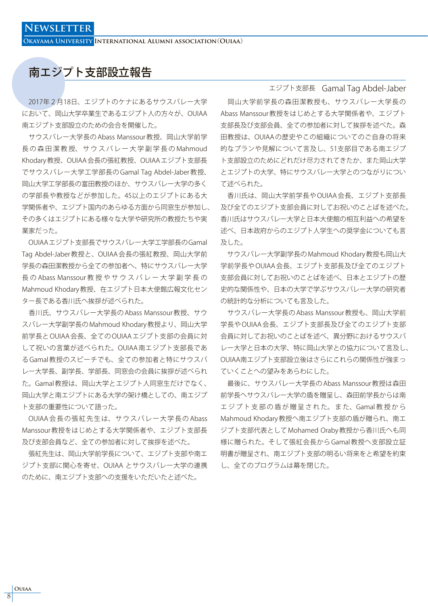**Okayama University International Alumni association**(**Ouiaa**)

# 南エジプト支部設立報告

 2017年2月18日、エジプトのケナにあるサウスバレー大学 において、岡山大学卒業生であるエジプト人の方々が、OUIAA 南エジプト支部設立のための会合を開催した。

 サウスバレー大学長の Abass Manssour 教授、岡山大学前学 長 の 森 田 潔 教 授、 サ ウ ス バ レ ー 大 学 副 学 長 の Mahmoud Khodary 教授、OUIAA 会長の張紅教授、OUIAA エジプト支部長 でサウスバレー大学工学部長の Gamal Tag Abdel-Jaber 教授、 岡山大学工学部長の富田教授のほか、サウスバレー大学の多く の学部長や教授などが参加した。45以上のエジプトにある大 学関係者や、エジプト国内のあらゆる方面から同窓生が参加し、 その多くはエジプトにある様々な大学や研究所の教授たちや実 業家だった。

 OUIAAエジプト支部長でサウスバレー大学工学部長のGamal Tag Abdel-Jaber 教授と、OUIAA 会長の張紅教授、岡山大学前 学長の森田潔教授から全ての参加者へ、特にサウスバレー大学 長 の Abass Manssour 教 授 や サ ウ ス バ レ ー 大 学 副 学 長 の Mahmoud Khodary 教授、在エジプト日本大使館広報文化セン ター長である香川氏へ挨拶が述べられた。

 香川氏、サウスバレー大学長の Abass Manssour 教授、サウ スバレー大学副学長の Mahmoud Khodary 教授より、岡山大学 前学長と OUIAA 会長、全ての OUIAA エジプト支部の会員に対 して祝いの言葉が述べられた。OUIAA 南エジプト支部長であ る Gamal 教授のスピーチでも、全ての参加者と特にサウスバ レー大学長、副学長、学部長、同窓会の会員に挨拶が述べられ た。Gamal 教授は、岡山大学とエジプト人同窓生だけでなく、 岡山大学と南エジプトにある大学の架け橋としての、南エジプ ト支部の重要性について語った。

OUIAA 会長の張紅先生は、サウスバレー大学長のAbass Manssour 教授をはじめとする大学関係者や、エジプト支部長 及び支部会員など、全ての参加者に対して挨拶を述べた。

 張紅先生は、岡山大学前学長について、エジプト支部や南エ ジプト支部に関心を寄せ、OUIAA とサウスバレー大学の連携 のために、南エジプト支部への支援をいただいたと述べた。

#### エジプト支部長 Gamal Tag Abdel-Jaber

 岡山大学前学長の森田潔教授も、サウスバレー大学長の Abass Manssour 教授をはじめとする大学関係者や、エジプト 支部長及び支部会員、全ての参加者に対して挨拶を述べた。森 田教授は、OUIAA の歴史やこの組織についてのご自身の将来 的なプランや見解について言及し、51支部目である南エジプ ト支部設立のためにどれだけ尽力されてきたか、また岡山大学 とエジプトの大学、特にサウスバレー大学とのつながりについ て述べられた。

 香川氏は、岡山大学前学長や OUIAA 会長、エジプト支部長 及び全てのエジプト支部会員に対してお祝いのことばを述べた。 香川氏はサウスバレー大学と日本大使館の相互利益への希望を 述べ、日本政府からのエジプト人学生への奨学金についても言 及した。

 サウスバレー大学副学長の Mahmoud Khodary 教授も岡山大 学前学長や OUIAA 会長、エジプト支部長及び全てのエジプト 支部会員に対してお祝いのことばを述べ、日本とエジプトの歴 史的な関係性や、日本の大学で学ぶサウスバレー大学の研究者 の統計的な分析についても言及した。

 サウスバレー大学長の Abass Manssour 教授も、岡山大学前 学長や OUIAA 会長、エジプト支部長及び全てのエジプト支部 会員に対してお祝いのことばを述べ、異分野におけるサウスバ レー大学と日本の大学、特に岡山大学との協力について言及し、 OUIAA南エジプト支部設立後はさらにこれらの関係性が強まっ ていくことへの望みをあらわにした。

 最後に、サウスバレー大学長の Abass Manssour 教授は森田 前学長へサウスバレー大学の盾を贈呈し、森田前学長からは南 エジプト支部の盾が贈呈された。また、Gamal 教授から Mahmoud Khodary 教授へ南エジプト支部の盾が贈られ、南エ ジプト支部代表として Mohamed Oraby 教授から香川氏へも同 様に贈られた。そして張紅会長から Gamal 教授へ支部設立証 明書が贈呈され、南エジプト支部の明るい将来をと希望を約束 し、全てのプログラムは幕を閉じた。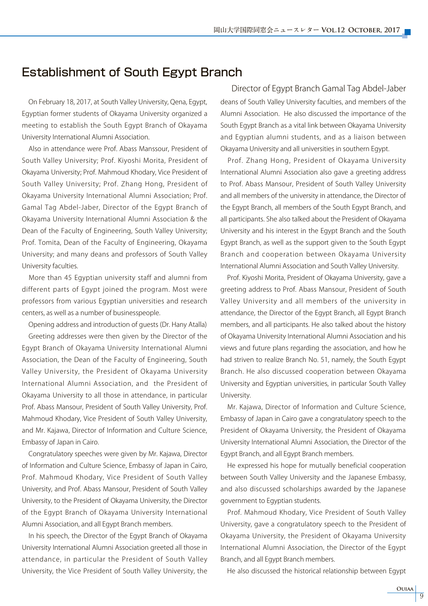### Establishment of South Egypt Branch

 On February 18, 2017, at South Valley University, Qena, Egypt, Egyptian former students of Okayama University organized a meeting to establish the South Egypt Branch of Okayama University International Alumni Association.

 Also in attendance were Prof. Abass Manssour, President of South Valley University; Prof. Kiyoshi Morita, President of Okayama University; Prof. Mahmoud Khodary, Vice President of South Valley University; Prof. Zhang Hong, President of Okayama University International Alumni Association; Prof. Gamal Tag Abdel-Jaber, Director of the Egypt Branch of Okayama University International Alumni Association & the Dean of the Faculty of Engineering, South Valley University; Prof. Tomita, Dean of the Faculty of Engineering, Okayama University; and many deans and professors of South Valley University faculties.

 More than 45 Egyptian university staff and alumni from different parts of Egypt joined the program. Most were professors from various Egyptian universities and research centers, as well as a number of businesspeople.

Opening address and introduction of guests (Dr. Hany Atalla)

 Greeting addresses were then given by the Director of the Egypt Branch of Okayama University International Alumni Association, the Dean of the Faculty of Engineering, South Valley University, the President of Okayama University International Alumni Association, and the President of Okayama University to all those in attendance, in particular Prof. Abass Mansour, President of South Valley University, Prof. Mahmoud Khodary, Vice President of South Valley University, and Mr. Kajawa, Director of Information and Culture Science, Embassy of Japan in Cairo.

 Congratulatory speeches were given by Mr. Kajawa, Director of Information and Culture Science, Embassy of Japan in Cairo, Prof. Mahmoud Khodary, Vice President of South Valley University, and Prof. Abass Mansour, President of South Valley University, to the President of Okayama University, the Director of the Egypt Branch of Okayama University International Alumni Association, and all Egypt Branch members.

 In his speech, the Director of the Egypt Branch of Okayama University International Alumni Association greeted all those in attendance, in particular the President of South Valley University, the Vice President of South Valley University, the

deans of South Valley University faculties, and members of the Alumni Association. He also discussed the importance of the South Egypt Branch as a vital link between Okayama University and Egyptian alumni students, and as a liaison between Okayama University and all universities in southern Egypt. Director of Egypt Branch Gamal Tag Abdel-Jaber

 Prof. Zhang Hong, President of Okayama University International Alumni Association also gave a greeting address to Prof. Abass Mansour, President of South Valley University and all members of the university in attendance, the Director of the Egypt Branch, all members of the South Egypt Branch, and all participants. She also talked about the President of Okayama University and his interest in the Egypt Branch and the South Egypt Branch, as well as the support given to the South Egypt Branch and cooperation between Okayama University International Alumni Association and South Valley University.

 Prof. Kiyoshi Morita, President of Okayama University, gave a greeting address to Prof. Abass Mansour, President of South Valley University and all members of the university in attendance, the Director of the Egypt Branch, all Egypt Branch members, and all participants. He also talked about the history of Okayama University International Alumni Association and his views and future plans regarding the association, and how he had striven to realize Branch No. 51, namely, the South Egypt Branch. He also discussed cooperation between Okayama University and Egyptian universities, in particular South Valley University.

 Mr. Kajawa, Director of Information and Culture Science, Embassy of Japan in Cairo gave a congratulatory speech to the President of Okayama University, the President of Okayama University International Alumni Association, the Director of the Egypt Branch, and all Egypt Branch members.

 He expressed his hope for mutually beneficial cooperation between South Valley University and the Japanese Embassy, and also discussed scholarships awarded by the Japanese government to Egyptian students.

 Prof. Mahmoud Khodary, Vice President of South Valley University, gave a congratulatory speech to the President of Okayama University, the President of Okayama University International Alumni Association, the Director of the Egypt Branch, and all Egypt Branch members.

He also discussed the historical relationship between Egypt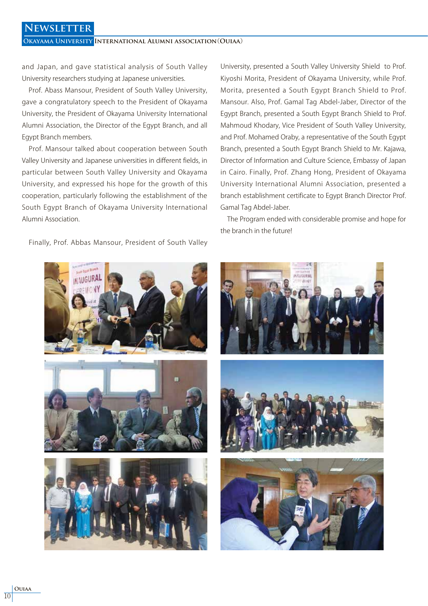### **Newsletter**

**Okayama University International Alumni association**(**Ouiaa**)

and Japan, and gave statistical analysis of South Valley University researchers studying at Japanese universities.

 Prof. Abass Mansour, President of South Valley University, gave a congratulatory speech to the President of Okayama University, the President of Okayama University International Alumni Association, the Director of the Egypt Branch, and all Egypt Branch members.

 Prof. Mansour talked about cooperation between South Valley University and Japanese universities in different fields, in particular between South Valley University and Okayama University, and expressed his hope for the growth of this cooperation, particularly following the establishment of the South Egypt Branch of Okayama University International Alumni Association.

University, presented a South Valley University Shield to Prof. Kiyoshi Morita, President of Okayama University, while Prof. Morita, presented a South Egypt Branch Shield to Prof. Mansour. Also, Prof. Gamal Tag Abdel-Jaber, Director of the Egypt Branch, presented a South Egypt Branch Shield to Prof. Mahmoud Khodary, Vice President of South Valley University, and Prof. Mohamed Oraby, a representative of the South Egypt Branch, presented a South Egypt Branch Shield to Mr. Kajawa, Director of Information and Culture Science, Embassy of Japan in Cairo. Finally, Prof. Zhang Hong, President of Okayama University International Alumni Association, presented a branch establishment certificate to Egypt Branch Director Prof. Gamal Tag Abdel-Jaber.

 The Program ended with considerable promise and hope for the branch in the future!



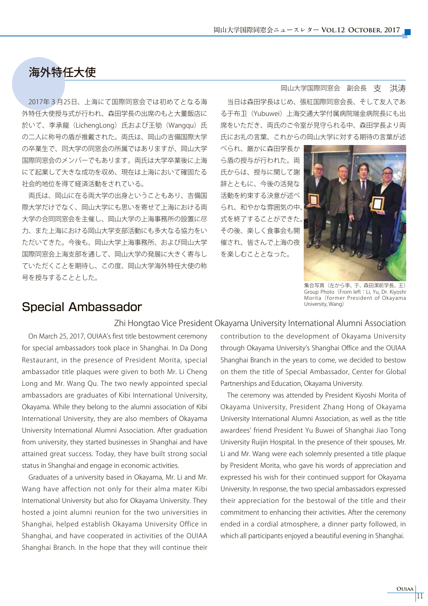# 海外特任大使

 2017年3月25日、上海にて国際同窓会では初めてとなる海 外特任大使授与式が行われ、森田学長の出席のもと大董飯店に 於いて、李承龍(LichengLong)氏および王劬(Wangqu)氏 の二人に称号の盾が推戴された。両氏は、岡山の吉備国際大学 の卒業生で、同大学の同窓会の所属ではありますが、岡山大学 国際同窓会のメンバーでもあります。両氏は大学卒業後に上海 にて起業して大きな成功を収め、現在は上海において確固たる 社会的地位を得て経済活動をされている。

 両氏は、岡山に在る両大学の出身ということもあり、吉備国 際大学だけでなく、岡山大学にも思いを寄せて上海における両 大学の合同同窓会を主催し、岡山大学の上海事務所の設置に尽 力、また上海における岡山大学支部活動にも多大なる協力をい ただいてきた。今後も、岡山大学上海事務所、および岡山大学 国際同窓会上海支部を通して、岡山大学の発展に大きく寄与し ていただくことを期待し、この度、岡山大学海外特任大使の称 号を授与することとした。

#### 岡山大学国際同窓会 副会長 支 洪涛

 当日は森田学長はじめ、張紅国際同窓会長、そして友人であ る于布 (Yubuwei)上海交通大学付属病院瑞金病院長にも出 席をいただき、両氏のご令室が見守られる中、森田学長より両 氏にお礼の言葉、これからの岡山大学に対する期待の言葉が述

べられ、厳かに森田学長か ら盾の授与が行われた。両 氏からは、授与に関して謝 辞とともに、今後の活発な 活動を約束する決意が述べ られ、和やかな雰囲気の中、 式を終了することができた。 その後、楽しく食事会も開 催され、皆さんで上海の夜 を楽しむこととなった。



集合写真(左から李、于、森田潔前学長、王) Group Photo (From left: Li, Yu, Dr. Kiyoshi Morita (former President of Okayama University, Wang)

### Special Ambassador

#### Zhi Hongtao Vice President Okayama University International Alumni Association

 On March 25, 2017, OUIAA's first title bestowment ceremony for special ambassadors took place in Shanghai. In Da Dong Restaurant, in the presence of President Morita, special ambassador title plaques were given to both Mr. Li Cheng Long and Mr. Wang Qu. The two newly appointed special ambassadors are graduates of Kibi International University, Okayama. While they belong to the alumni association of Kibi International University, they are also members of Okayama University International Alumni Association. After graduation from university, they started businesses in Shanghai and have attained great success. Today, they have built strong social status in Shanghai and engage in economic activities.

 Graduates of a university based in Okayama, Mr. Li and Mr. Wang have affection not only for their alma mater Kibi International University but also for Okayama University. They hosted a joint alumni reunion for the two universities in Shanghai, helped establish Okayama University Office in Shanghai, and have cooperated in activities of the OUIAA Shanghai Branch. In the hope that they will continue their

contribution to the development of Okayama University through Okayama University's Shanghai Office and the OUIAA Shanghai Branch in the years to come, we decided to bestow on them the title of Special Ambassador, Center for Global Partnerships and Education, Okayama University.

 The ceremony was attended by President Kiyoshi Morita of Okayama University, President Zhang Hong of Okayama University International Alumni Association, as well as the title awardees' friend President Yu Buwei of Shanghai Jiao Tong University Ruijin Hospital. In the presence of their spouses, Mr. Li and Mr. Wang were each solemnly presented a title plaque by President Morita, who gave his words of appreciation and expressed his wish for their continued support for Okayama University. In response, the two special ambassadors expressed their appreciation for the bestowal of the title and their commitment to enhancing their activities. After the ceremony ended in a cordial atmosphere, a dinner party followed, in which all participants enjoyed a beautiful evening in Shanghai.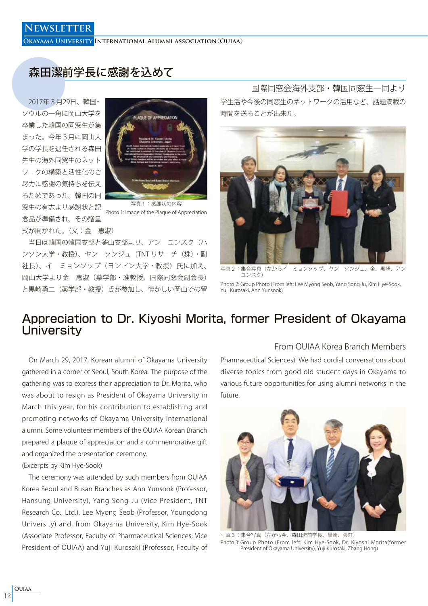**Okayama University International Alumni association**(**Ouiaa**)

# 森田潔前学長に感謝を込めて

 2017年3月29日、韓国・ ソウルの一角に岡山大学を 卒業した韓国の同窓生が集 まった。今年3月に岡山大 学の学長を退任される森田 先生の海外同窓生のネット ワークの構築と活性化のご 尽力に感謝の気持ちを伝え るためであった。韓国の同 窓生の有志より感謝状と記 念品が準備され、その贈呈 式が開かれた。(文:金 惠淑)



写真1:感謝状の内容 Photo 1: Image of the Plaque of Appreciation

 当日は韓国の韓国支部と釜山支部より、アン ユンスク(ハ ンソン大学・教授)、ヤン ソンジュ(TNT リサーチ(株)・副 社長)、イ ミョンソップ(ヨンドン大学・教授)氏に加え、 岡山大学より金 惠淑(薬学部・准教授、国際同窓会副会長) と黒崎勇二(薬学部・教授)氏が参加し、懐かしい岡山での留

学生活や今後の同窓生のネットワークの活用など、話題満載の 時間を送ることが出来た。 国際同窓会海外支部・韓国同窓生一同より



写真2:集合写真(左からイ ミョンソップ、ヤン ソンジュ、金、黒崎、 ユンスク)

Photo 2: Group Photo (From left: Lee Myong Seob, Yang Song Ju, Kim Hye-Sook, Yuji Kurosaki, Ann Yunsook)

### Appreciation to Dr. Kiyoshi Morita, former President of Okayama **University**

 On March 29, 2017, Korean alumni of Okayama University gathered in a corner of Seoul, South Korea. The purpose of the gathering was to express their appreciation to Dr. Morita, who was about to resign as President of Okayama University in March this year, for his contribution to establishing and promoting networks of Okayama University international alumni. Some volunteer members of the OUIAA Korean Branch prepared a plaque of appreciation and a commemorative gift and organized the presentation ceremony.

#### (Excerpts by Kim Hye-Sook)

 The ceremony was attended by such members from OUIAA Korea Seoul and Busan Branches as Ann Yunsook (Professor, Hansung University), Yang Song Ju (Vice President, TNT Research Co., Ltd.), Lee Myong Seob (Professor, Youngdong University) and, from Okayama University, Kim Hye-Sook (Associate Professor, Faculty of Pharmaceutical Sciences; Vice President of OUIAA) and Yuji Kurosaki (Professor, Faculty of From OUIAA Korea Branch Members

Pharmaceutical Sciences). We had cordial conversations about diverse topics from good old student days in Okayama to various future opportunities for using alumni networks in the future.



写直3:集合写直(左から金、森田潔前学長、里崎、張紅) Photo 3: Group Photo (From left: Kim Hye-Sook, Dr. Kiyoshi Morita(former President of Okayama University), Yuji Kurosaki, Zhang Hong)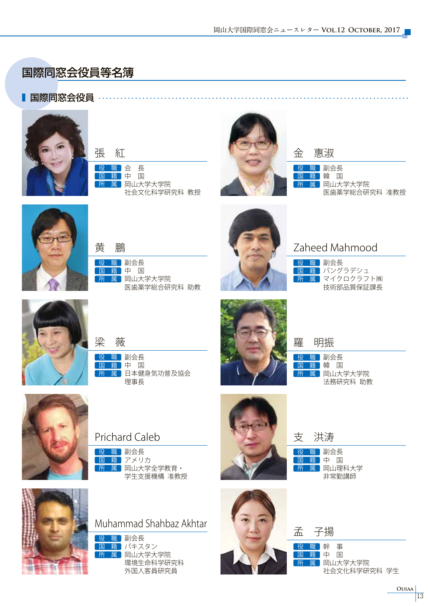# 国際同窓会役員等名簿

### ■ 国際同窓会役員 ………………………………………………………………………





国籍中 国 所 属 岡山大学大学院 社会文化科学研究科 教授



金 惠淑

役 職 副会長 国籍韓 国 所 属 岡山大学大学院 医歯薬学総合研究科 准教授



黄 鵬

役 職 副会長 <mark>国籍</mark>中国<br>所属 岡山大 属 岡山大学大学院 医歯薬学総合研究科 助教



### Zaheed Mahmood

役 職 副会長 | 国 籍 バングラデシュ |所 属| マイクロクラフト(株) 技術部品質保証課長



役 職 副会長 国籍中 国 梁 薇

理事長

所 属 日本健身気功普及協会



### Prichard Caleb

役 職 副会長 国 籍 アメリカ 所 属 岡山大学全学教育· 学生支援機構 准教授





Muhammad Shahbaz Akhtar

役 職 副会長 国 籍 パキスタン 所 属 岡山大学大学院 環境生命科学研究科 外国人客員研究員



役 職 副会長 国籍中国 所 属 岡山理科大学 非常勤講師

役 職 副会長 国籍 韓 国

羅 明振

所 属 岡山大学大学院

法務研究科 助教

支 洪涛

### 孟 子揚

役 職 幹 事 国 籍 中 国 所 属 岡山大学大学院 社会文化科学研究科 学生